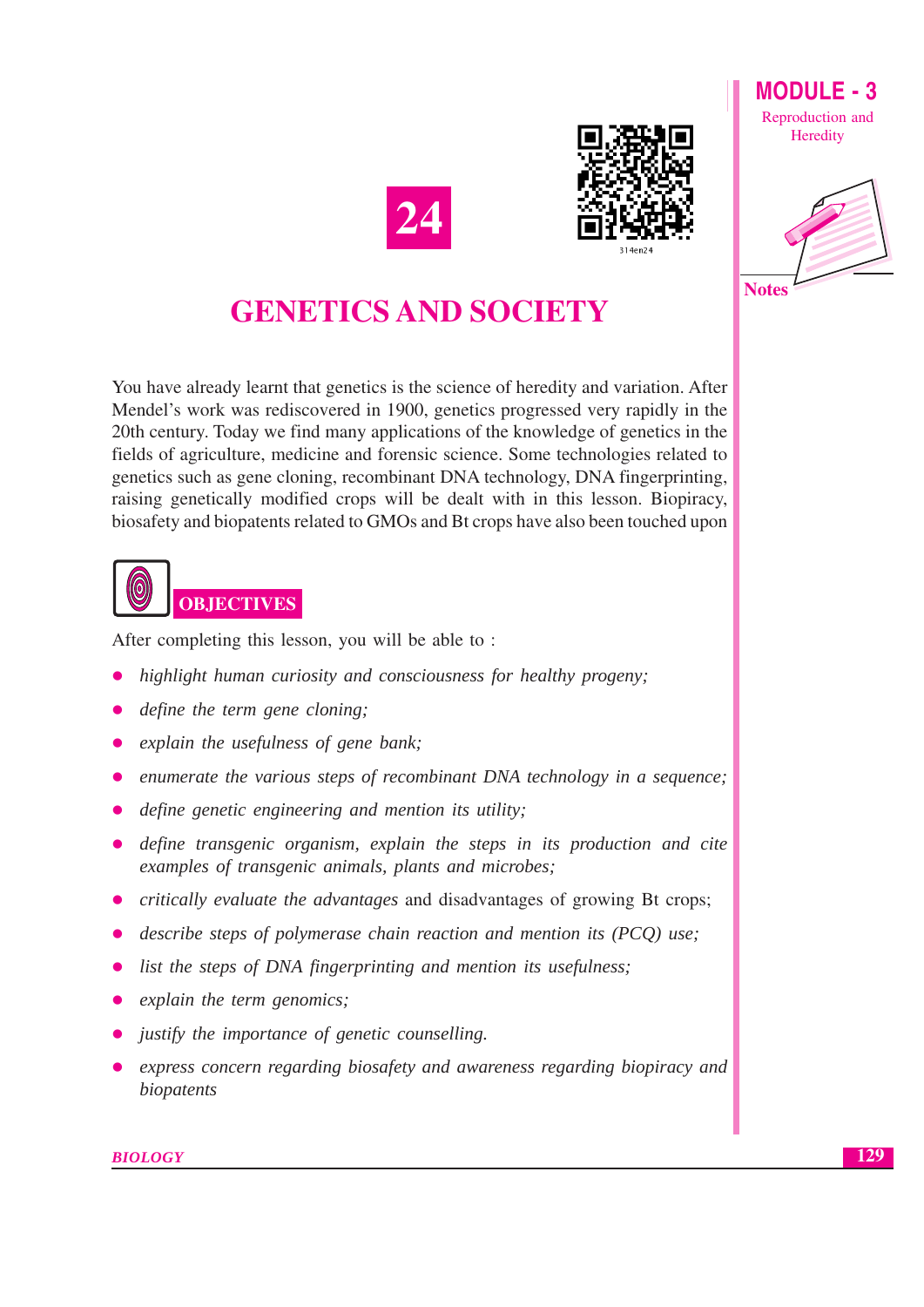





# **GENETICS AND SOCIETY**

You have already learnt that genetics is the science of heredity and variation. After Mendel's work was rediscovered in 1900, genetics progressed very rapidly in the 20th century. Today we find many applications of the knowledge of genetics in the fields of agriculture, medicine and forensic science. Some technologies related to genetics such as gene cloning, recombinant DNA technology, DNA fingerprinting, raising genetically modified crops will be dealt with in this lesson. Biopiracy, biosafety and biopatents related to GMOs and Bt crops have also been touched upon



After completing this lesson, you will be able to:

- highlight human curiosity and consciousness for healthy progeny;
- define the term gene cloning;
- explain the usefulness of gene bank;
- enumerate the various steps of recombinant DNA technology in a sequence;
- define genetic engineering and mention its utility:
- define transgenic organism, explain the steps in its production and cite examples of transgenic animals, plants and microbes;
- critically evaluate the advantages and disadvantages of growing Bt crops;
- describe steps of polymerase chain reaction and mention its (PCQ) use;
- list the steps of DNA fingerprinting and mention its usefulness;
- explain the term genomics;
- justify the importance of genetic counselling.
- express concern regarding biosafety and awareness regarding biopiracy and biopatents

**BIOLOGY**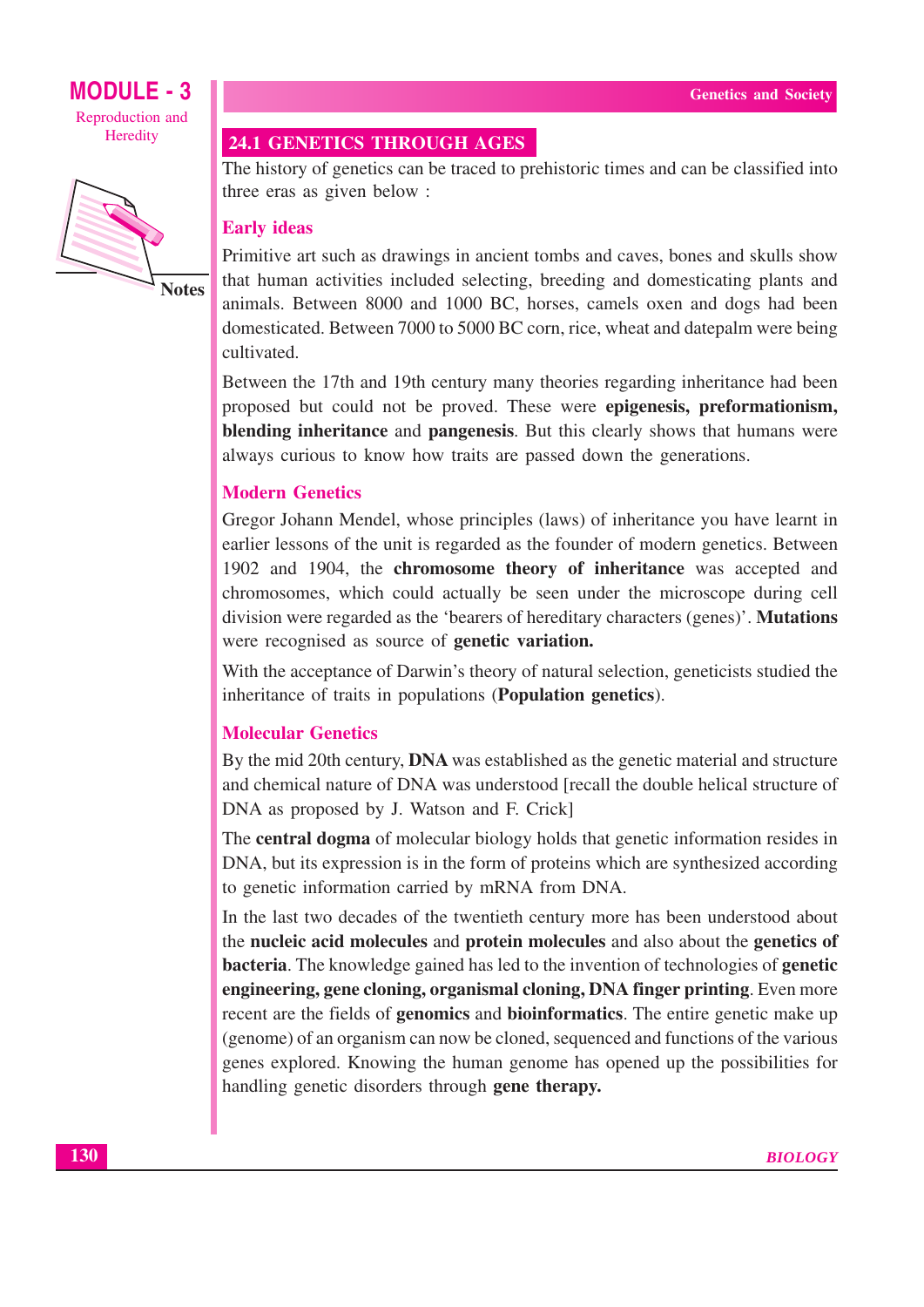

**Notes** 

#### **24.1 GENETICS THROUGH AGES**

The history of genetics can be traced to prehistoric times and can be classified into three eras as given below:

#### **Early ideas**

Primitive art such as drawings in ancient tombs and caves, bones and skulls show that human activities included selecting, breeding and domesticating plants and animals. Between 8000 and 1000 BC, horses, camels oxen and dogs had been domesticated. Between 7000 to 5000 BC corn, rice, wheat and datepalm were being cultivated.

Between the 17th and 19th century many theories regarding inheritance had been proposed but could not be proved. These were **epigenesis**, **preformationism**, **blending inheritance** and **pangenesis**. But this clearly shows that humans were always curious to know how traits are passed down the generations.

#### **Modern Genetics**

Gregor Johann Mendel, whose principles (laws) of inheritance you have learnt in earlier lessons of the unit is regarded as the founder of modern genetics. Between 1902 and 1904, the chromosome theory of inheritance was accepted and chromosomes, which could actually be seen under the microscope during cell division were regarded as the 'bearers of hereditary characters (genes)'. **Mutations** were recognised as source of **genetic variation.** 

With the acceptance of Darwin's theory of natural selection, geneticists studied the inheritance of traits in populations (Population genetics).

#### **Molecular Genetics**

By the mid 20th century, **DNA** was established as the genetic material and structure and chemical nature of DNA was understood [recall the double helical structure of DNA as proposed by J. Watson and F. Crick]

The **central dogma** of molecular biology holds that genetic information resides in DNA, but its expression is in the form of proteins which are synthesized according to genetic information carried by mRNA from DNA.

In the last two decades of the twentieth century more has been understood about the nucleic acid molecules and protein molecules and also about the genetics of **bacteria.** The knowledge gained has led to the invention of technologies of **genetic** engineering, gene cloning, organismal cloning, DNA finger printing. Even more recent are the fields of **genomics** and **bioinformatics**. The entire genetic make up (genome) of an organism can now be cloned, sequenced and functions of the various genes explored. Knowing the human genome has opened up the possibilities for handling genetic disorders through gene therapy.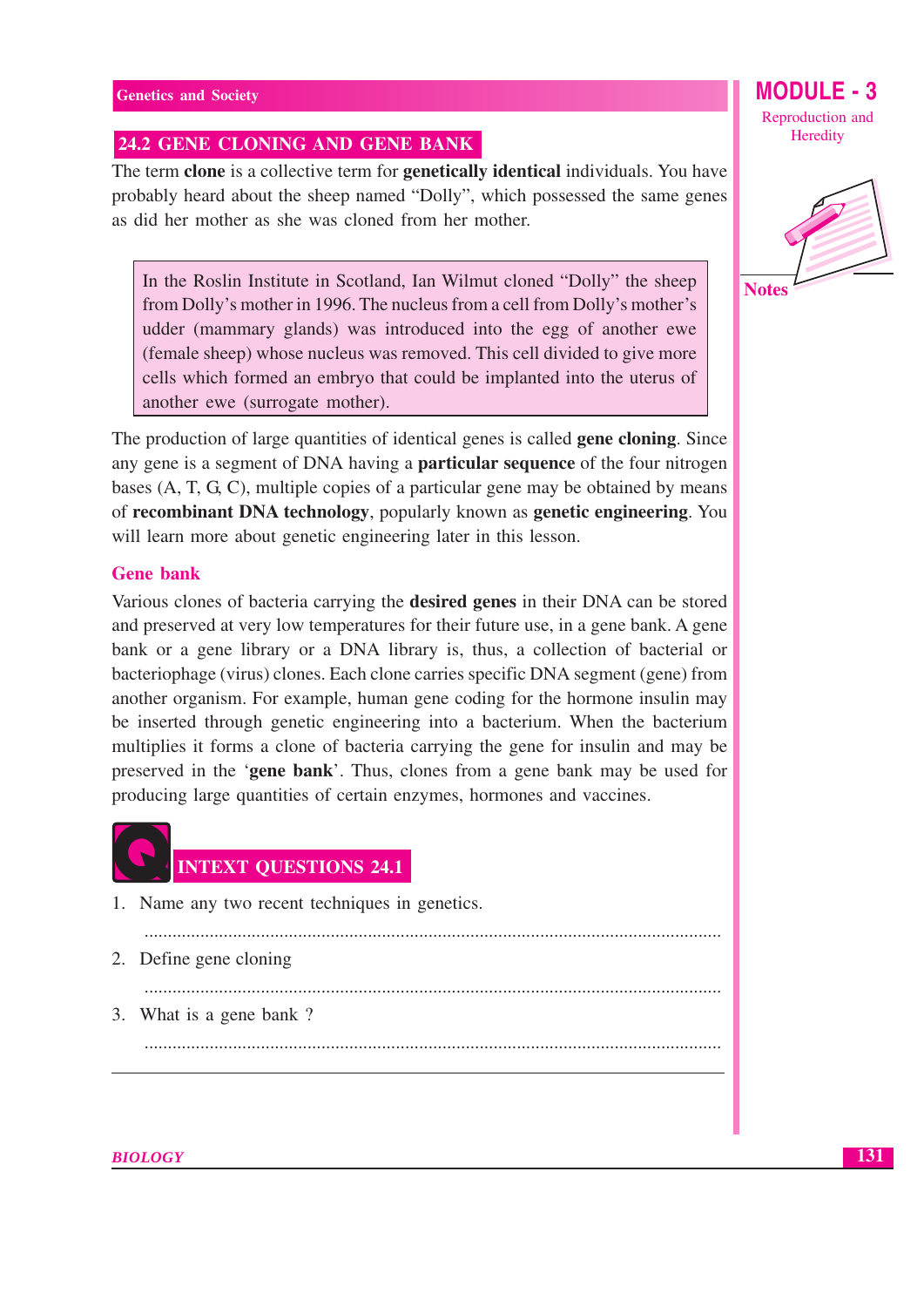#### 24.2 GENE CLONING AND GENE BANK

The term clone is a collective term for genetically identical individuals. You have probably heard about the sheep named "Dolly", which possessed the same genes as did her mother as she was cloned from her mother.

In the Roslin Institute in Scotland, Ian Wilmut cloned "Dolly" the sheep from Dolly's mother in 1996. The nucleus from a cell from Dolly's mother's udder (mammary glands) was introduced into the egg of another ewe (female sheep) whose nucleus was removed. This cell divided to give more cells which formed an embryo that could be implanted into the uterus of another ewe (surrogate mother).

The production of large quantities of identical genes is called **gene cloning**. Since any gene is a segment of DNA having a **particular sequence** of the four nitrogen bases (A, T, G, C), multiple copies of a particular gene may be obtained by means of recombinant DNA technology, popularly known as genetic engineering. You will learn more about genetic engineering later in this lesson.

#### Gene hank

Various clones of bacteria carrying the desired genes in their DNA can be stored and preserved at very low temperatures for their future use, in a gene bank. A gene bank or a gene library or a DNA library is, thus, a collection of bacterial or bacteriophage (virus) clones. Each clone carries specific DNA segment (gene) from another organism. For example, human gene coding for the hormone insulin may be inserted through genetic engineering into a bacterium. When the bacterium multiplies it forms a clone of bacteria carrying the gene for insulin and may be preserved in the 'gene bank'. Thus, clones from a gene bank may be used for producing large quantities of certain enzymes, hormones and vaccines.



1. Name any two recent techniques in genetics.

- 2. Define gene cloning
	-
- 3. What is a gene bank?

MODULE : Reproduction and Heredity

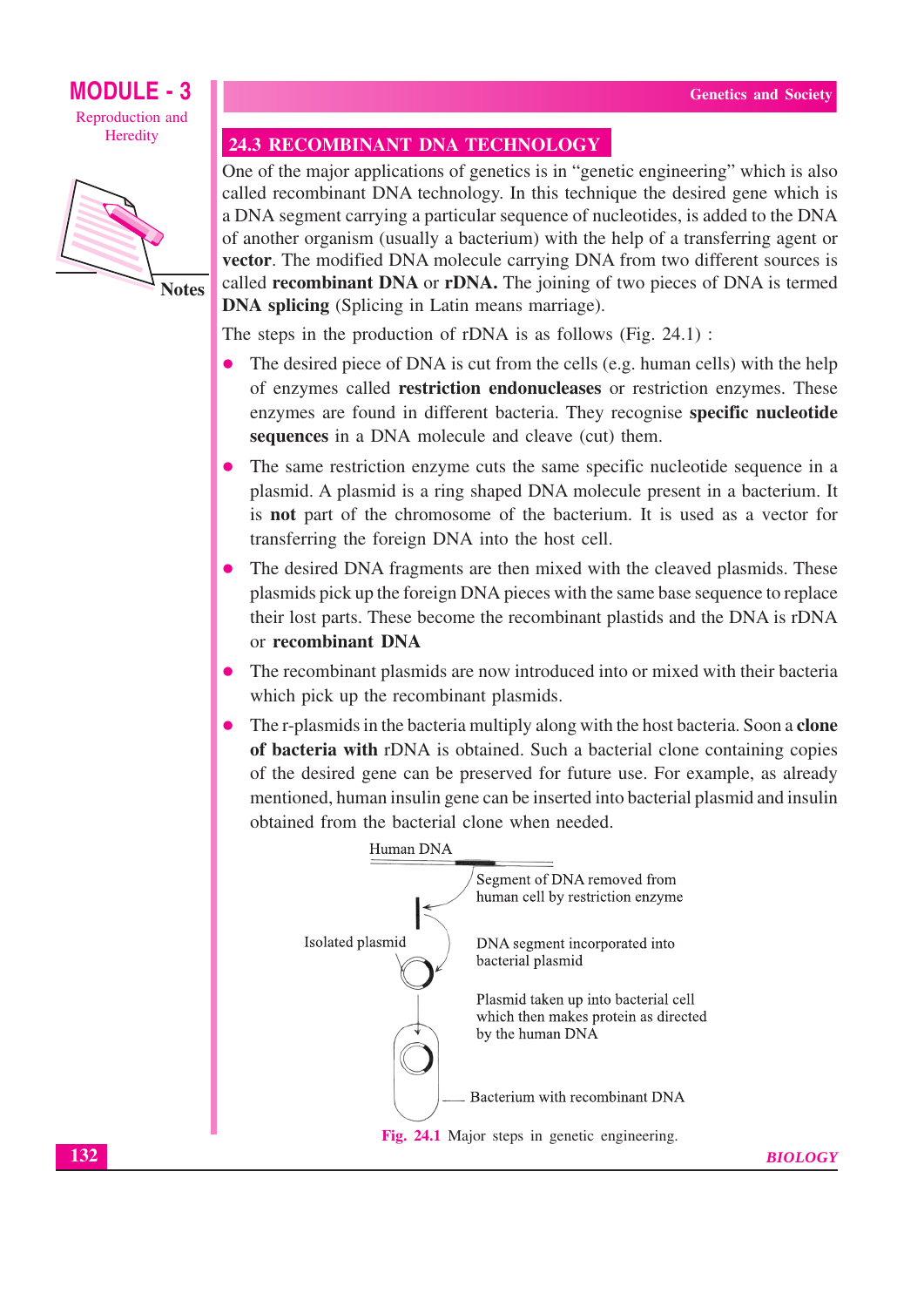

**Notes** 

#### **24.3 RECOMBINANT DNA TECHNOLOGY**

One of the major applications of genetics is in "genetic engineering" which is also called recombinant DNA technology. In this technique the desired gene which is a DNA segment carrying a particular sequence of nucleotides, is added to the DNA of another organism (usually a bacterium) with the help of a transferring agent or vector. The modified DNA molecule carrying DNA from two different sources is called **recombinant DNA** or **rDNA**. The joining of two pieces of DNA is termed **DNA splicing** (Splicing in Latin means marriage).

The steps in the production of rDNA is as follows (Fig.  $24.1$ ):

- The desired piece of DNA is cut from the cells (e.g. human cells) with the help of enzymes called restriction endonucleases or restriction enzymes. These enzymes are found in different bacteria. They recognise specific nucleotide sequences in a DNA molecule and cleave (cut) them.
- The same restriction enzyme cuts the same specific nucleotide sequence in a plasmid. A plasmid is a ring shaped DNA molecule present in a bacterium. It is **not** part of the chromosome of the bacterium. It is used as a vector for transferring the foreign DNA into the host cell.
- The desired DNA fragments are then mixed with the cleaved plasmids. These plasmids pick up the foreign DNA pieces with the same base sequence to replace their lost parts. These become the recombinant plastids and the DNA is rDNA or recombinant DNA
- The recombinant plasmids are now introduced into or mixed with their bacteria which pick up the recombinant plasmids.
- The r-plasmids in the bacteria multiply along with the host bacteria. Soon a clone of bacteria with rDNA is obtained. Such a bacterial clone containing copies of the desired gene can be preserved for future use. For example, as already mentioned, human insulin gene can be inserted into bacterial plasmid and insulin obtained from the bacterial clone when needed.

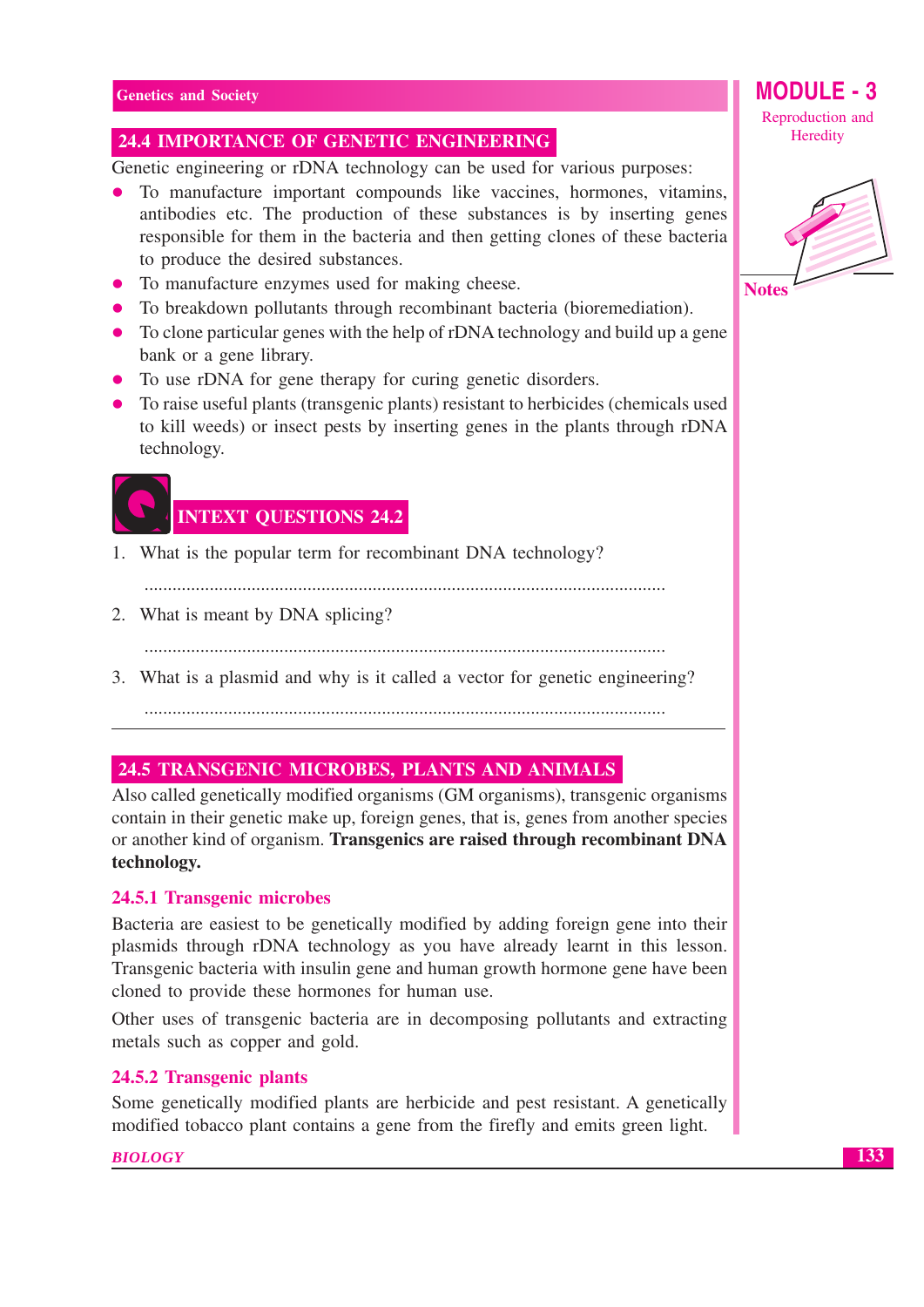#### **24.4 IMPORTANCE OF GENETIC ENGINEERING**

Genetic engineering or rDNA technology can be used for various purposes:

- To manufacture important compounds like vaccines, hormones, vitamins, antibodies etc. The production of these substances is by inserting genes responsible for them in the bacteria and then getting clones of these bacteria to produce the desired substances.
- To manufacture enzymes used for making cheese.
- To breakdown pollutants through recombinant bacteria (bioremediation).
- To clone particular genes with the help of rDNA technology and build up a gene bank or a gene library.
- To use rDNA for gene therapy for curing genetic disorders.
- To raise useful plants (transgenic plants) resistant to herbicides (chemicals used to kill weeds) or insect pests by inserting genes in the plants through rDNA technology.



1. What is the popular term for recombinant DNA technology?

- 2. What is meant by DNA splicing?
	-
- 3. What is a plasmid and why is it called a vector for genetic engineering?

#### **24.5 TRANSGENIC MICROBES, PLANTS AND ANIMALS**

Also called genetically modified organisms (GM organisms), transgenic organisms contain in their genetic make up, foreign genes, that is, genes from another species or another kind of organism. Transgenics are raised through recombinant DNA technology.

#### 24.5.1 Transgenic microbes

Bacteria are easiest to be genetically modified by adding foreign gene into their plasmids through rDNA technology as you have already learnt in this lesson. Transgenic bacteria with insulin gene and human growth hormone gene have been cloned to provide these hormones for human use.

Other uses of transgenic bacteria are in decomposing pollutants and extracting metals such as copper and gold.

#### 24.5.2 Transgenic plants

Some genetically modified plants are herbicide and pest resistant. A genetically modified tobacco plant contains a gene from the firefly and emits green light.

#### **BIOLOGY**

Reproduction and Heredity

**MODULE - 3** 

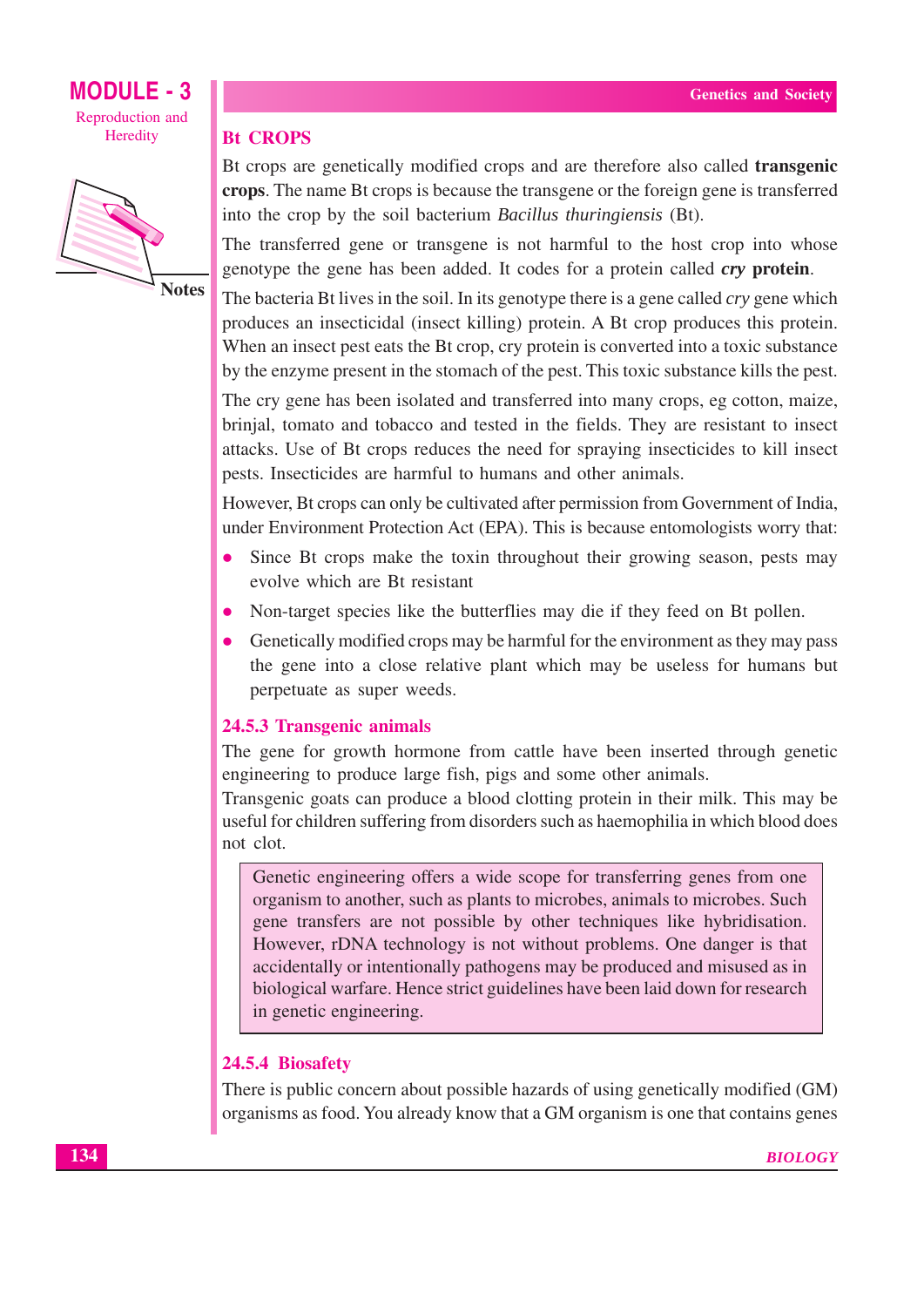

**Notes** 

#### **Bt CROPS**

Bt crops are genetically modified crops and are therefore also called **transgenic** crops. The name Bt crops is because the transgene or the foreign gene is transferred into the crop by the soil bacterium Bacillus thuringiensis (Bt).

The transferred gene or transgene is not harmful to the host crop into whose genotype the gene has been added. It codes for a protein called *cry* protein.

The bacteria Bt lives in the soil. In its genotype there is a gene called cry gene which produces an insecticidal (insect killing) protein. A Bt crop produces this protein. When an insect pest eats the Bt crop, cry protein is converted into a toxic substance by the enzyme present in the stomach of the pest. This toxic substance kills the pest.

The cry gene has been isolated and transferred into many crops, eg cotton, maize, brinjal, tomato and tobacco and tested in the fields. They are resistant to insect attacks. Use of Bt crops reduces the need for spraying insecticides to kill insect pests. Insecticides are harmful to humans and other animals.

However, Bt crops can only be cultivated after permission from Government of India, under Environment Protection Act (EPA). This is because entomologists worry that:

- Since Bt crops make the toxin throughout their growing season, pests may evolve which are Bt resistant
- Non-target species like the butterflies may die if they feed on Bt pollen.  $\bullet$
- Genetically modified crops may be harmful for the environment as they may pass the gene into a close relative plant which may be useless for humans but perpetuate as super weeds.

#### 24.5.3 Transgenic animals

The gene for growth hormone from cattle have been inserted through genetic engineering to produce large fish, pigs and some other animals.

Transgenic goats can produce a blood clotting protein in their milk. This may be useful for children suffering from disorders such as haemophilia in which blood does not clot.

Genetic engineering offers a wide scope for transferring genes from one organism to another, such as plants to microbes, animals to microbes. Such gene transfers are not possible by other techniques like hybridisation. However, rDNA technology is not without problems. One danger is that accidentally or intentionally pathogens may be produced and misused as in biological warfare. Hence strict guidelines have been laid down for research in genetic engineering.

#### 24.5.4 Biosafety

There is public concern about possible hazards of using genetically modified (GM) organisms as food. You already know that a GM organism is one that contains genes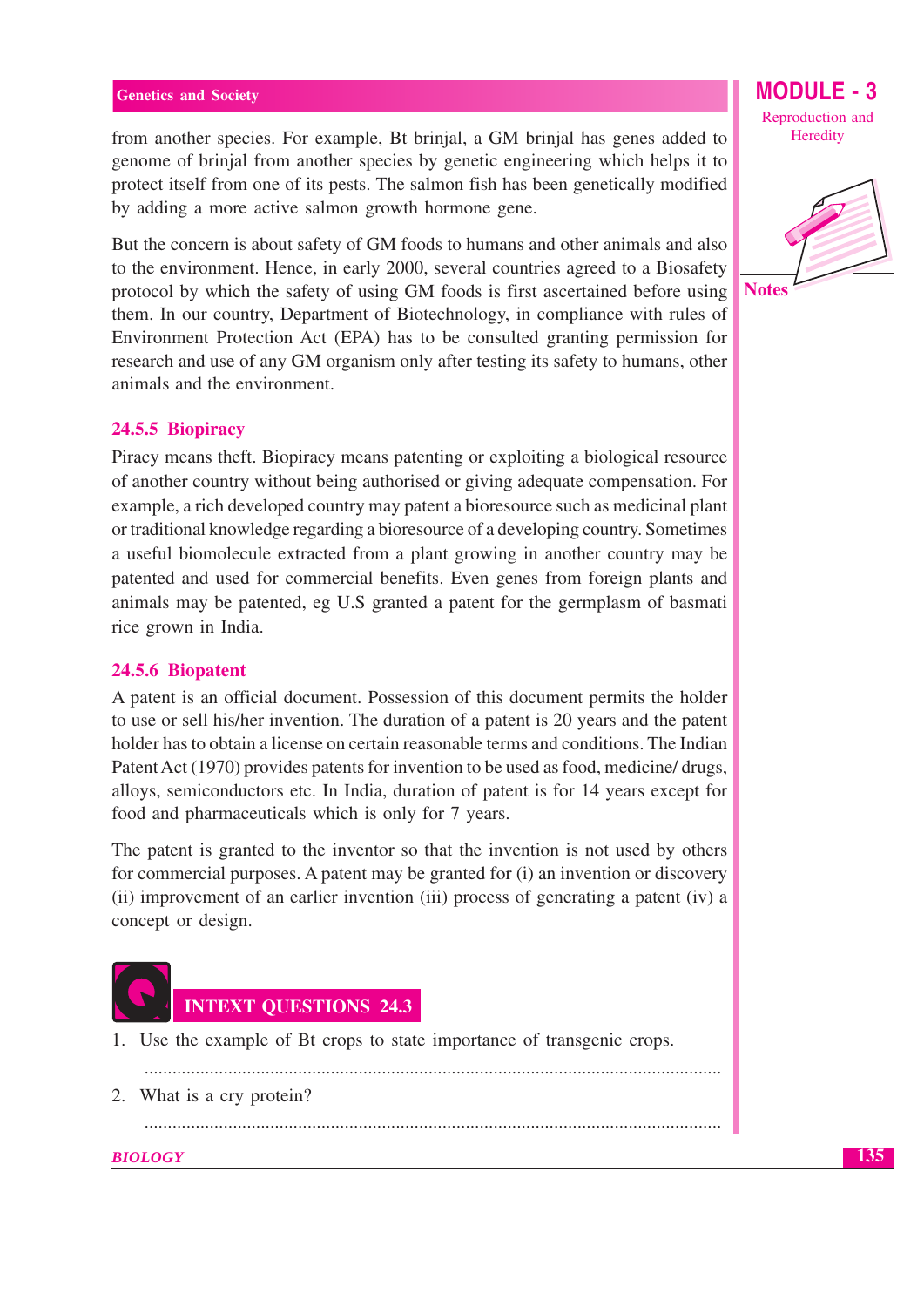from another species. For example, Bt brinjal, a GM brinjal has genes added to genome of brinjal from another species by genetic engineering which helps it to protect itself from one of its pests. The salmon fish has been genetically modified by adding a more active salmon growth hormone gene.

But the concern is about safety of GM foods to humans and other animals and also to the environment. Hence, in early 2000, several countries agreed to a Biosafety protocol by which the safety of using GM foods is first ascertained before using them. In our country, Department of Biotechnology, in compliance with rules of Environment Protection Act (EPA) has to be consulted granting permission for research and use of any GM organism only after testing its safety to humans, other animals and the environment.

#### 24.5.5 Biopiracy

Piracy means theft. Biopiracy means patenting or exploiting a biological resource of another country without being authorised or giving adequate compensation. For example, a rich developed country may patent a bioresource such as medicinal plant or traditional knowledge regarding a bioresource of a developing country. Sometimes a useful biomolecule extracted from a plant growing in another country may be patented and used for commercial benefits. Even genes from foreign plants and animals may be patented, eg U.S granted a patent for the germplasm of basmati rice grown in India.

#### 24.5.6 Biopatent

A patent is an official document. Possession of this document permits the holder to use or sell his/her invention. The duration of a patent is 20 years and the patent holder has to obtain a license on certain reasonable terms and conditions. The Indian Patent Act (1970) provides patents for invention to be used as food, medicine/drugs, alloys, semiconductors etc. In India, duration of patent is for 14 years except for food and pharmaceuticals which is only for 7 years.

The patent is granted to the inventor so that the invention is not used by others for commercial purposes. A patent may be granted for (i) an invention or discovery (ii) improvement of an earlier invention (iii) process of generating a patent (iv) a concept or design.



1. Use the example of Bt crops to state importance of transgenic crops.

- 
- 2. What is a cry protein?

**BIOLOGY** 

Reproduction and Heredity

**MODULE** 

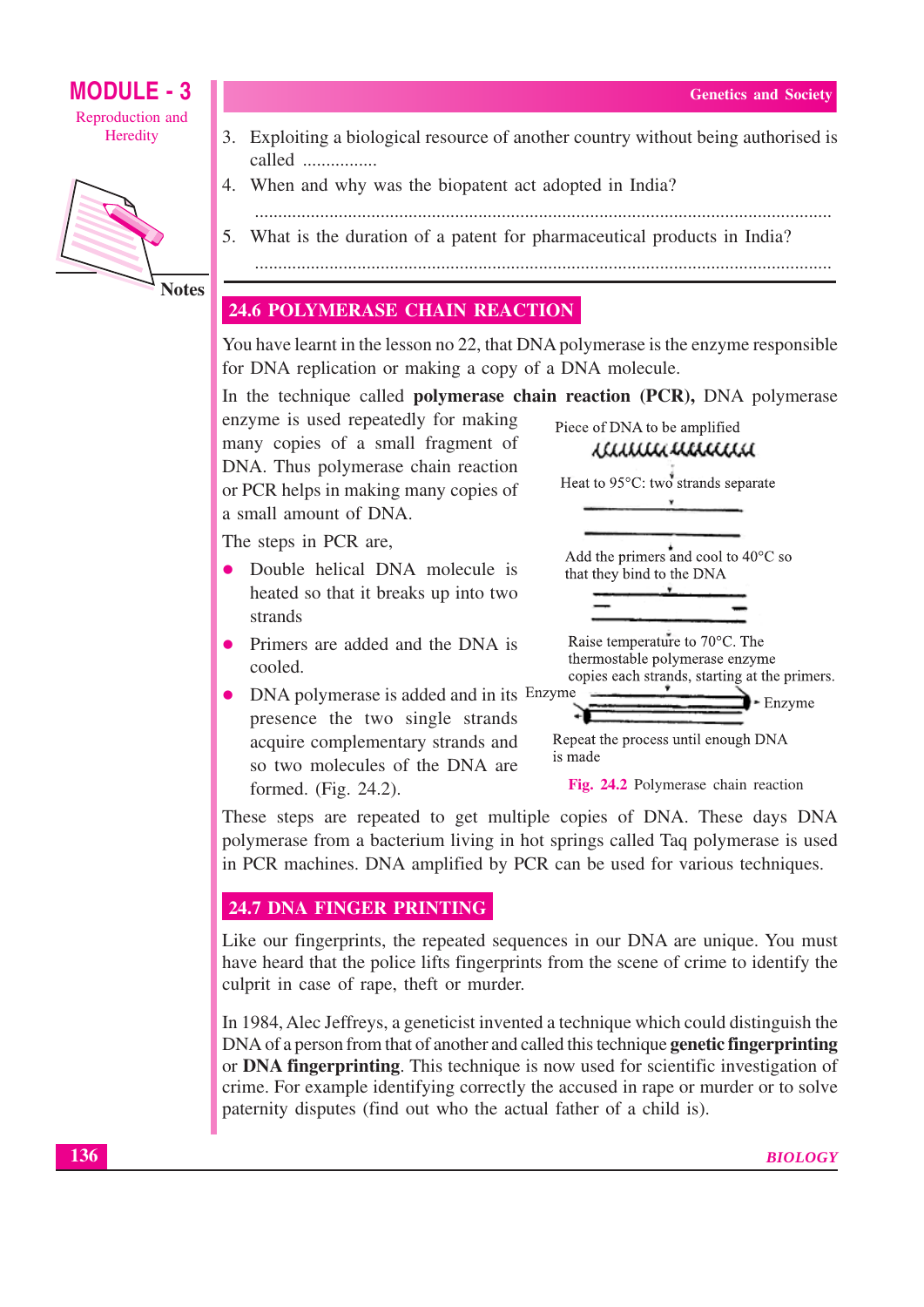

**Notes** 

- 3. Exploiting a biological resource of another country without being authorised is called ................
- 4. When and why was the biopatent act adopted in India?
- 
- 5. What is the duration of a patent for pharmaceutical products in India?

#### **24.6 POLYMERASE CHAIN REACTION**

You have learnt in the lesson no 22, that DNA polymerase is the enzyme responsible for DNA replication or making a copy of a DNA molecule.

In the technique called **polymerase chain reaction** (PCR), DNA polymerase

enzyme is used repeatedly for making many copies of a small fragment of DNA. Thus polymerase chain reaction or PCR helps in making many copies of a small amount of DNA.

The steps in PCR are.

- Double helical DNA molecule is heated so that it breaks up into two strands
- Primers are added and the DNA is cooled.
- DNA polymerase is added and in its Enzyme presence the two single strands acquire complementary strands and so two molecules of the DNA are formed. (Fig. 24.2).

iammanaa Heat to 95°C: two strands separate Add the primers and cool to  $40^{\circ}$ C so

Piece of DNA to be amplified

that they bind to the DNA

Raise temperature to 70°C. The thermostable polymerase enzyme copies each strands, starting at the primers. Enzyme

Repeat the process until enough DNA

is made

Fig. 24.2 Polymerase chain reaction

These steps are repeated to get multiple copies of DNA. These days DNA polymerase from a bacterium living in hot springs called Taq polymerase is used in PCR machines. DNA amplified by PCR can be used for various techniques.

#### 24.7 DNA FINGER PRINTING

Like our fingerprints, the repeated sequences in our DNA are unique. You must have heard that the police lifts fingerprints from the scene of crime to identify the culprit in case of rape, theft or murder.

In 1984, Alec Jeffreys, a geneticist invented a technique which could distinguish the DNA of a person from that of another and called this technique genetic fingerprinting or DNA fingerprinting. This technique is now used for scientific investigation of crime. For example identifying correctly the accused in rape or murder or to solve paternity disputes (find out who the actual father of a child is).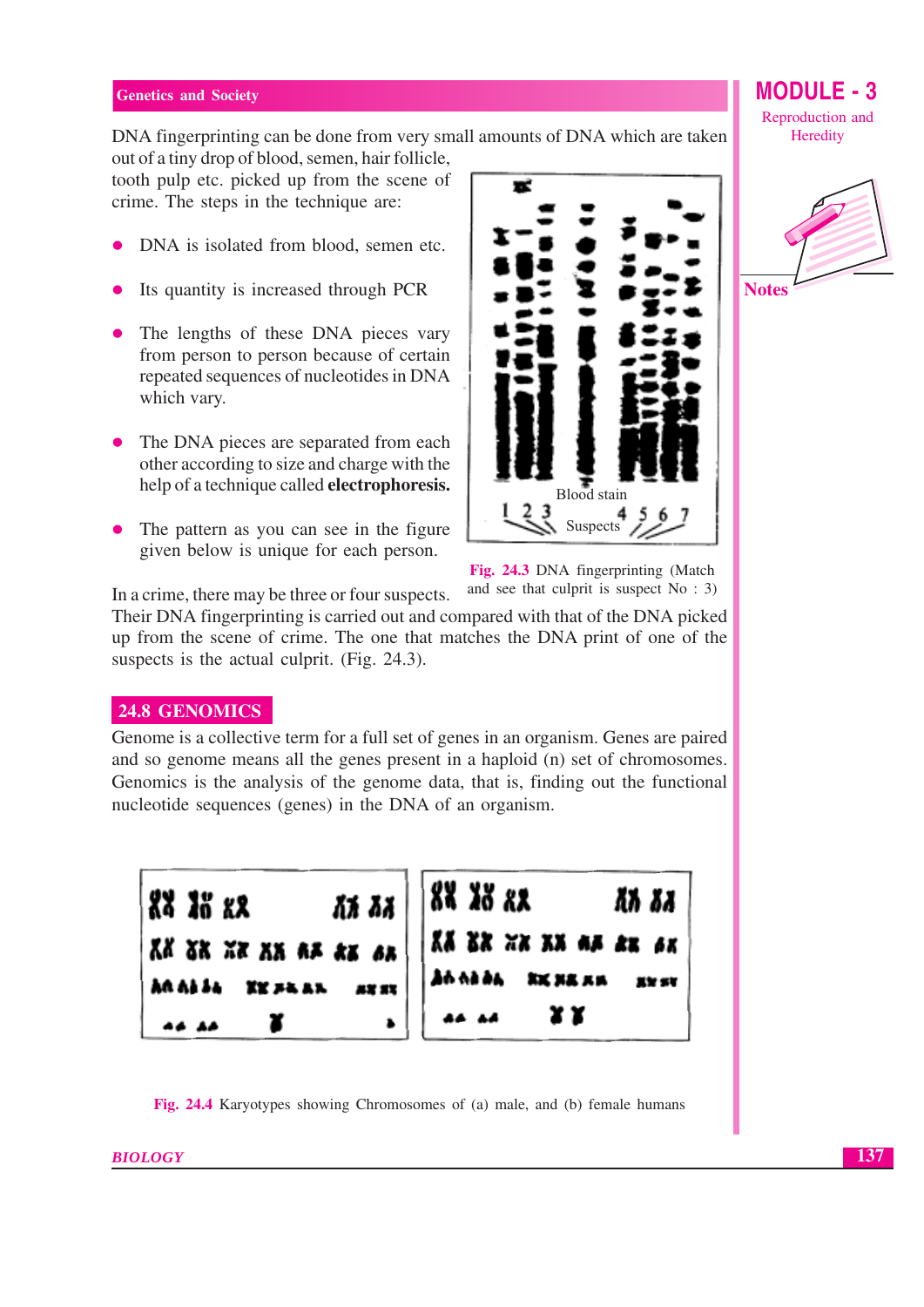## DNA fingerprinting can be done from very small amounts of DNA which are taken

out of a tiny drop of blood, semen, hair follicle, tooth pulp etc. picked up from the scene of crime. The steps in the technique are:

- DNA is isolated from blood, semen etc.  $\bullet$
- Its quantity is increased through PCR
- The lengths of these DNA pieces vary from person to person because of certain repeated sequences of nucleotides in DNA which vary.
- The DNA pieces are separated from each other according to size and charge with the help of a technique called **electrophoresis.**
- The pattern as you can see in the figure given below is unique for each person.



Fig. 24.3 DNA fingerprinting (Match and see that culprit is suspect  $No : 3$ 

In a crime, there may be three or four suspects.

Their DNA fingerprinting is carried out and compared with that of the DNA picked up from the scene of crime. The one that matches the DNA print of one of the suspects is the actual culprit. (Fig. 24.3).

#### 24.8 GENOMICS

Genome is a collective term for a full set of genes in an organism. Genes are paired and so genome means all the genes present in a haploid (n) set of chromosomes. Genomics is the analysis of the genome data, that is, finding out the functional nucleotide sequences (genes) in the DNA of an organism.



Fig. 24.4 Karyotypes showing Chromosomes of (a) male, and (b) female humans

Reproduction and Heredity

**MODULE - 3** 



137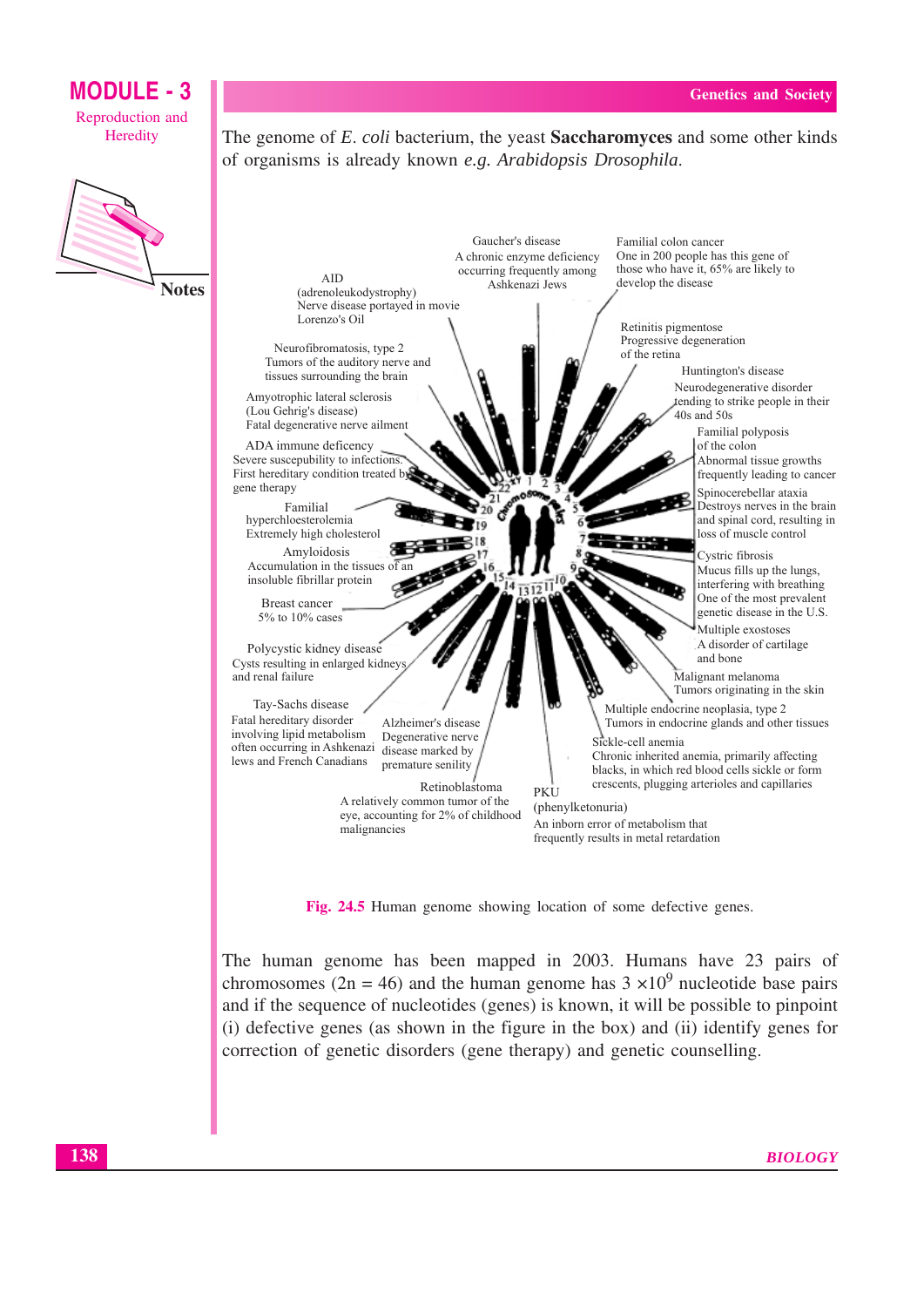#### **MODULE - 3** Reproduction and Heredity The genome of E. coli bacterium, the yeast **Saccharomyces** and some other kinds of organisms is already known e.g. Arabidopsis Drosophila.



Familial colon cancer One in 200 people has this gene of A chronic enzyme deficiency those who have it, 65% are likely to occurring frequently among **AID** develop the disease Ashkenazi Jews (adrenoleukodystrophy) Nerve disease portayed in movie Lorenzo's Oil Retinitis pigmentose Progressive degeneration Neurofibromatosis, type 2 of the retina Tumors of the auditory nerve and Huntington's disease tissues surrounding the brain Neurodegenerative disorder Amvotrophic lateral sclerosis tending to strike people in their (Lou Gehrig's disease)  $40s$  and  $50s$ Fatal degenerative nerve ailment Familial polyposis ADA immune deficency of the colon Severe suscepubility to infections Abnormal tissue growths First hereditary condition treated by frequently leading to cancer gene therapy Spinocerebellar ataxia Destroys nerves in the brain Familial and spinal cord, resulting in hyperchloesterolemia Extremely high cholesterol loss of muscle control **Line** Amyloidosis Cystric fibrosis Accumulation in the tissues of Mucus fills up the lungs, insoluble fibrillar protein interfering with breathing One of the most prevalent **Breast cancer** genetic disease in the U.S. 5% to 10% cases Multiple exostoses A disorder of cartilage Polycystic kidney disease and hone Cysts resulting in enlarged kidney Malignant melanoma and renal failure Tumors originating in the skin Tay-Sachs disease Multiple endocrine neoplasia, type 2 Fatal hereditary disorder Alzheimer's disease Tumors in endocrine glands and other tissues involving lipid metabolism Degenerative nerve Sickle-cell anemia often occurring in Ashkenazi disease marked by Chronic inherited anemia, primarily affecting lews and French Canadians premature senility blacks, in which red blood cells sickle or form crescents, plugging arterioles and capillaries Retinoblastoma **PKU** A relatively common tumor of the (phenylketonuria) eye, accounting for 2% of childhood An inborn error of metabolism that malignancies frequently results in metal retardation

Gaucher's disease

Fig. 24.5 Human genome showing location of some defective genes.

The human genome has been mapped in 2003. Humans have 23 pairs of chromosomes (2n = 46) and the human genome has  $3 \times 10^9$  nucleotide base pairs and if the sequence of nucleotides (genes) is known, it will be possible to pinpoint (i) defective genes (as shown in the figure in the box) and (ii) identify genes for correction of genetic disorders (gene therapy) and genetic counselling.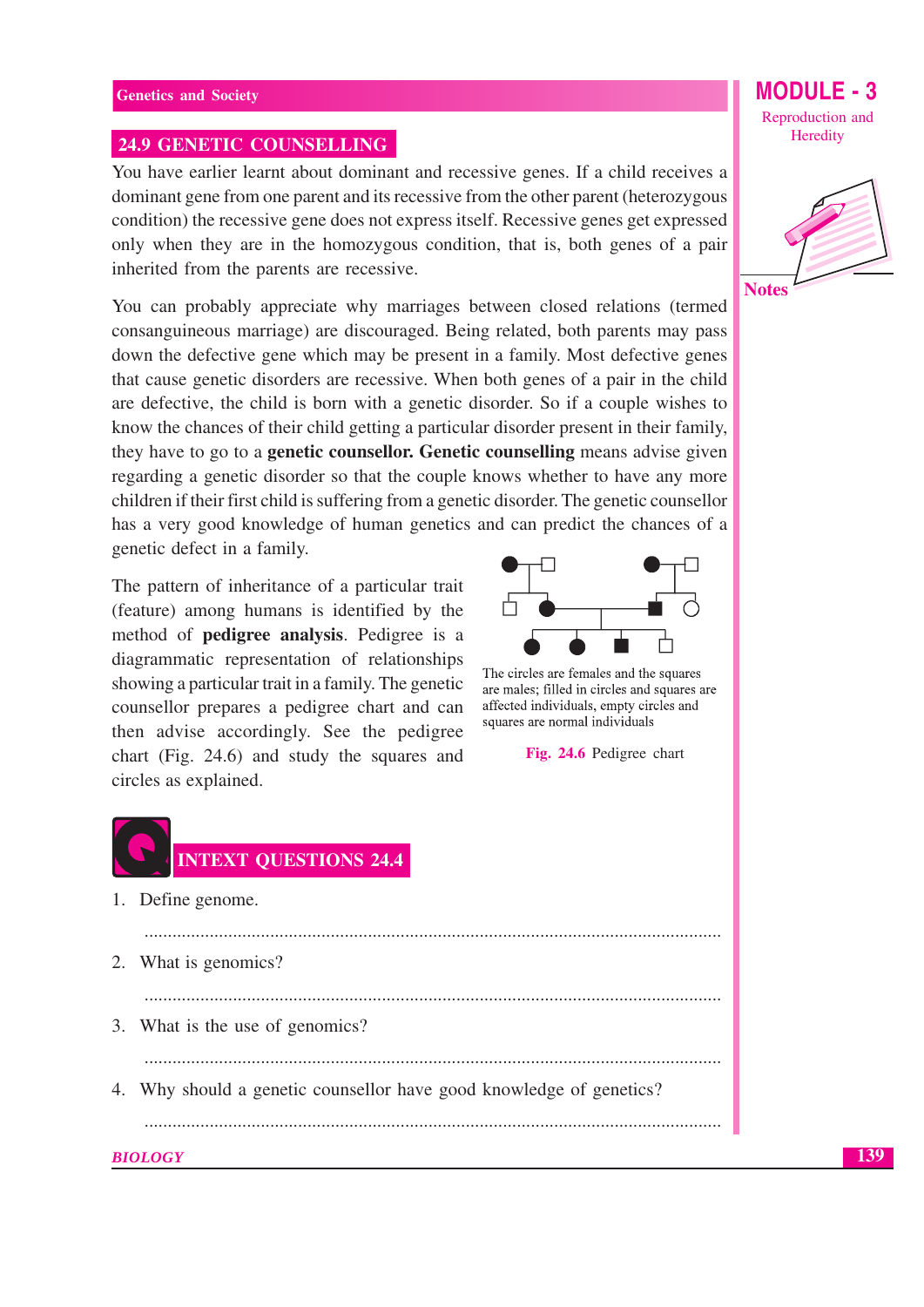#### **24.9 GENETIC COUNSELLING**

You have earlier learnt about dominant and recessive genes. If a child receives a dominant gene from one parent and its recessive from the other parent (heterozygous condition) the recessive gene does not express itself. Recessive genes get expressed only when they are in the homozygous condition, that is, both genes of a pair inherited from the parents are recessive.

You can probably appreciate why marriages between closed relations (termed consanguineous marriage) are discouraged. Being related, both parents may pass down the defective gene which may be present in a family. Most defective genes that cause genetic disorders are recessive. When both genes of a pair in the child are defective, the child is born with a genetic disorder. So if a couple wishes to know the chances of their child getting a particular disorder present in their family, they have to go to a **genetic counsellor. Genetic counselling** means advise given regarding a genetic disorder so that the couple knows whether to have any more children if their first child is suffering from a genetic disorder. The genetic counsellor has a very good knowledge of human genetics and can predict the chances of a genetic defect in a family.

The pattern of inheritance of a particular trait (feature) among humans is identified by the method of **pedigree analysis**. Pedigree is a diagrammatic representation of relationships showing a particular trait in a family. The genetic counsellor prepares a pedigree chart and can then advise accordingly. See the pedigree chart (Fig. 24.6) and study the squares and circles as explained.



- 1. Define genome.
- 2. What is genomics?
- 3. What is the use of genomics?
- 4. Why should a genetic counsellor have good knowledge of genetics?

**BIOLOGY** 

The circles are females and the squares are males; filled in circles and squares are affected individuals, empty circles and squares are normal individuals

Fig. 24.6 Pedigree chart





Reproduction and Heredity

MODUI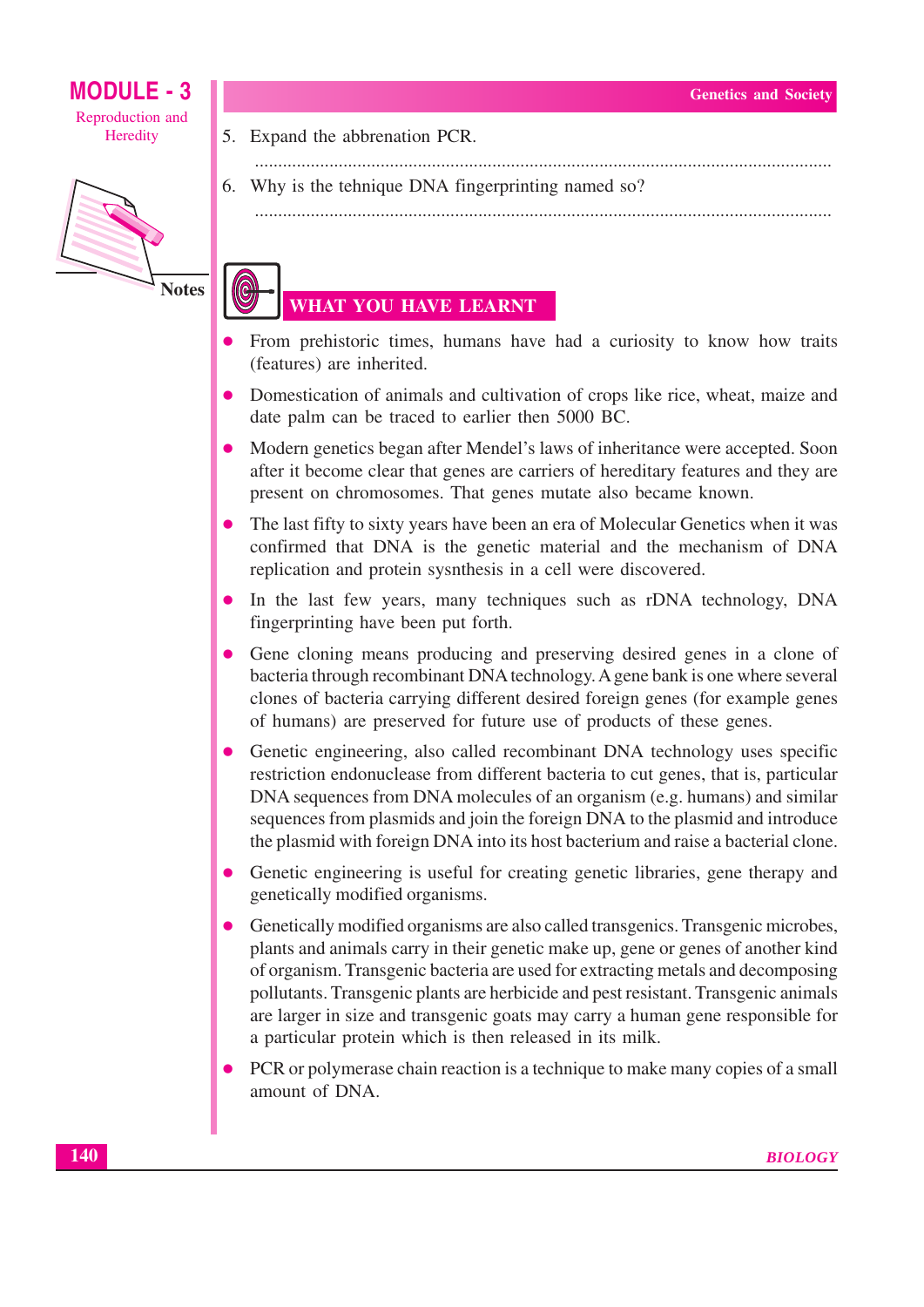

**Notes** 

- 5. Expand the abbrenation PCR.
- 
- 6. Why is the tehnique DNA fingerprinting named so?

### **WHAT YOU HAVE LEARNT**

- From prehistoric times, humans have had a curiosity to know how traits (features) are inherited.
- Domestication of animals and cultivation of crops like rice, wheat, maize and date palm can be traced to earlier then 5000 BC.
- Modern genetics began after Mendel's laws of inheritance were accepted. Soon  $\bullet$ after it become clear that genes are carriers of hereditary features and they are present on chromosomes. That genes mutate also became known.
- The last fifty to sixty years have been an era of Molecular Genetics when it was confirmed that DNA is the genetic material and the mechanism of DNA replication and protein sysnthesis in a cell were discovered.
- In the last few years, many techniques such as rDNA technology, DNA fingerprinting have been put forth.
- Gene cloning means producing and preserving desired genes in a clone of bacteria through recombinant DNA technology. A gene bank is one where several clones of bacteria carrying different desired foreign genes (for example genes of humans) are preserved for future use of products of these genes.
- Genetic engineering, also called recombinant DNA technology uses specific restriction endonuclease from different bacteria to cut genes, that is, particular DNA sequences from DNA molecules of an organism (e.g. humans) and similar sequences from plasmids and join the foreign DNA to the plasmid and introduce the plasmid with foreign DNA into its host bacterium and raise a bacterial clone.
- Genetic engineering is useful for creating genetic libraries, gene therapy and genetically modified organisms.
- Genetically modified organisms are also called transgenics. Transgenic microbes,  $\bullet$ plants and animals carry in their genetic make up, gene or genes of another kind of organism. Transgenic bacteria are used for extracting metals and decomposing pollutants. Transgenic plants are herbicide and pest resistant. Transgenic animals are larger in size and transgenic goats may carry a human gene responsible for a particular protein which is then released in its milk.
- PCR or polymerase chain reaction is a technique to make many copies of a small amount of DNA.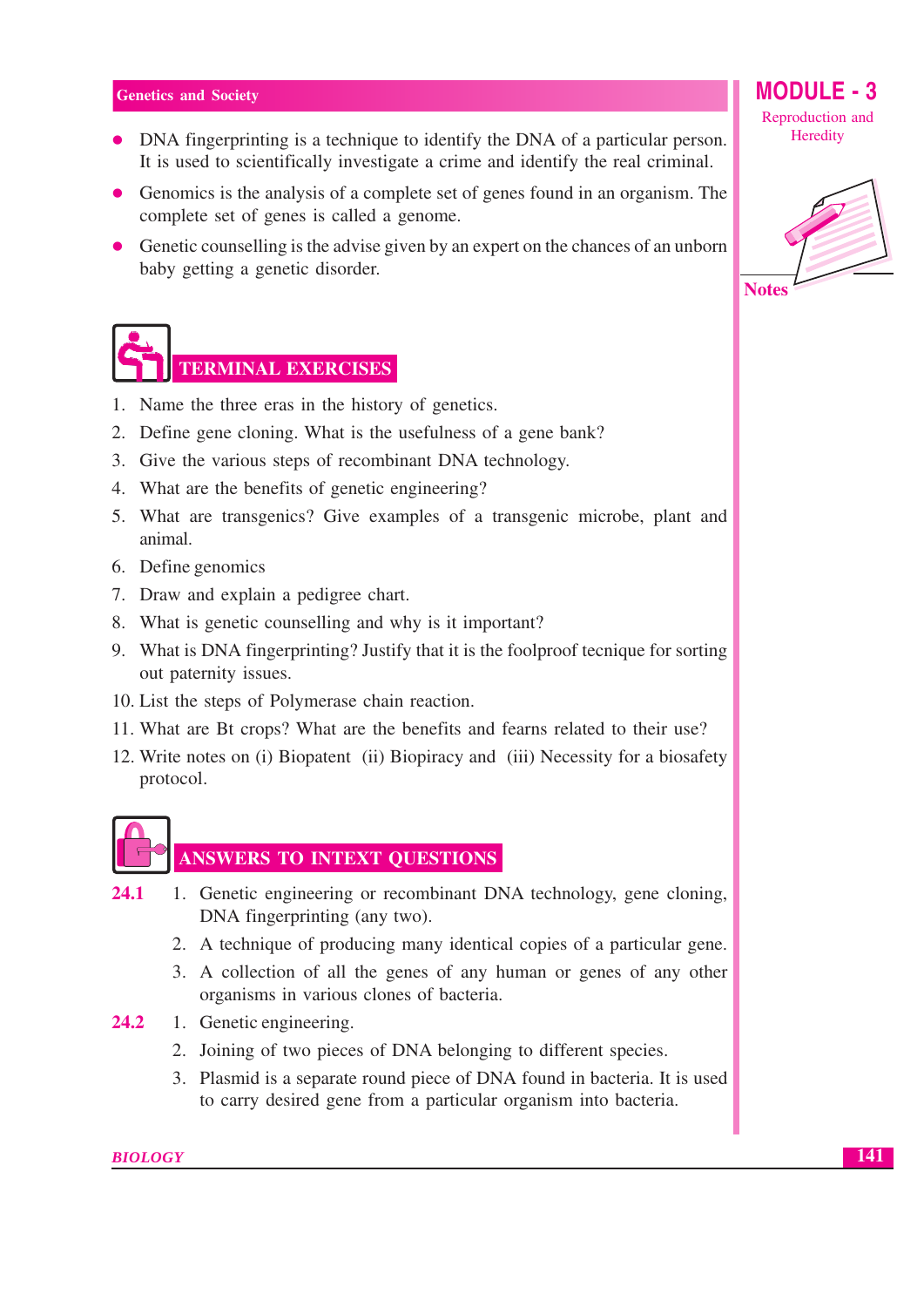- DNA fingerprinting is a technique to identify the DNA of a particular person. It is used to scientifically investigate a crime and identify the real criminal.
- Genomics is the analysis of a complete set of genes found in an organism. The complete set of genes is called a genome.
- Genetic counselling is the advise given by an expert on the chances of an unborn baby getting a genetic disorder.



## TERMINAL EXERCISES

- 1. Name the three eras in the history of genetics.
- 2. Define gene cloning. What is the usefulness of a gene bank?
- 3. Give the various steps of recombinant DNA technology.
- 4. What are the benefits of genetic engineering?
- 5. What are transgenics? Give examples of a transgenic microbe, plant and animal.
- 6. Define genomics
- 7. Draw and explain a pedigree chart.
- 8. What is genetic counselling and why is it important?
- 9. What is DNA fingerprinting? Justify that it is the foolproof tecnique for sorting out paternity issues.
- 10. List the steps of Polymerase chain reaction.
- 11. What are Bt crops? What are the benefits and fearns related to their use?
- 12. Write notes on (i) Biopatent (ii) Biopiracy and (iii) Necessity for a biosafety protocol.



#### **ANSWERS TO INTEXT QUESTIONS**

- 1. Genetic engineering or recombinant DNA technology, gene cloning,  $24.1$ DNA fingerprinting (any two).
	- 2. A technique of producing many identical copies of a particular gene.
	- 3. A collection of all the genes of any human or genes of any other organisms in various clones of bacteria.
- 24.2 1. Genetic engineering.
	- 2. Joining of two pieces of DNA belonging to different species.
	- 3. Plasmid is a separate round piece of DNA found in bacteria. It is used to carry desired gene from a particular organism into bacteria.

**MODULE - 3** Reproduction and

Heredity

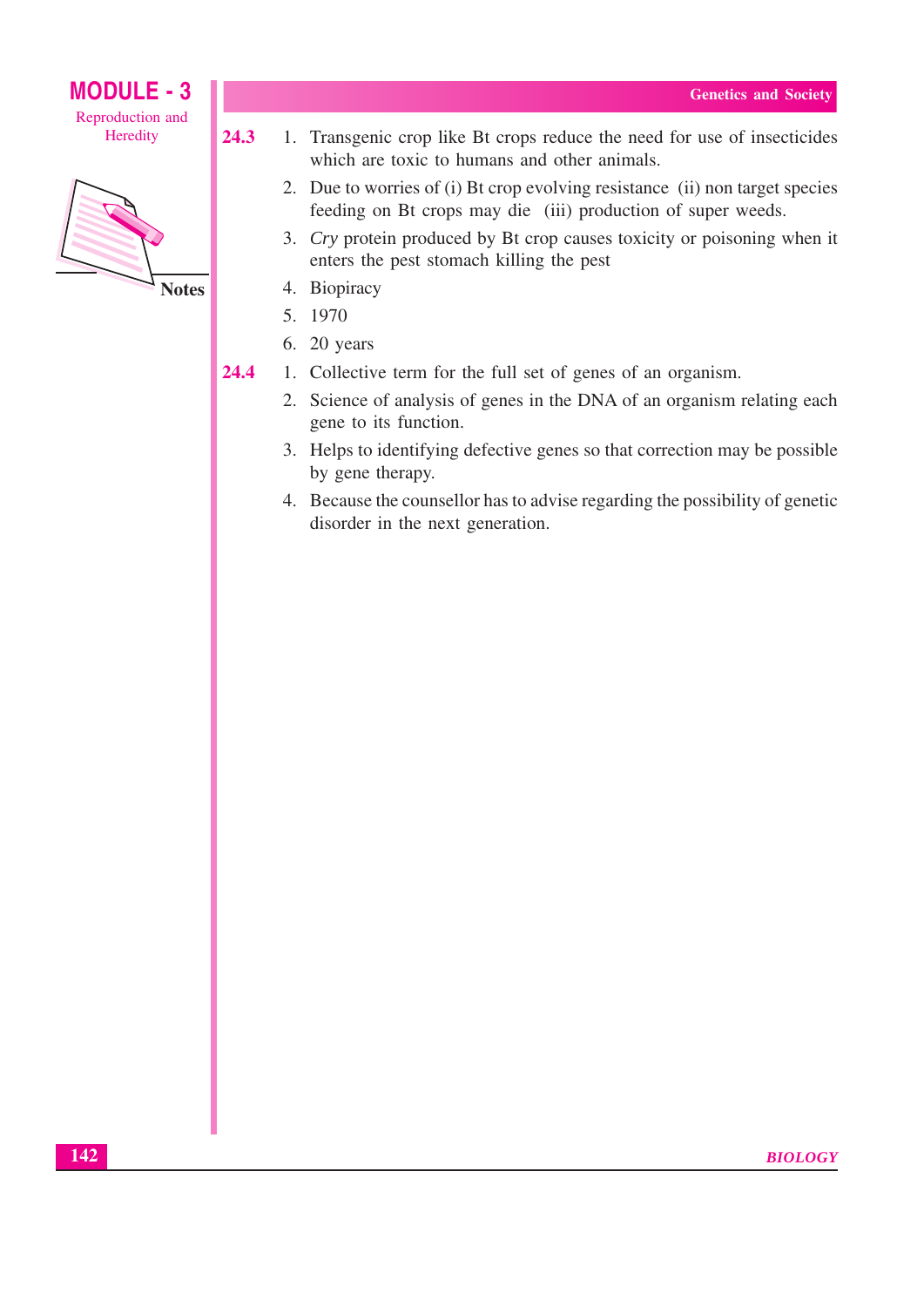# **MODULE - 3**

Reproduction and Heredity



**Notes** 

24.3

- 1. Transgenic crop like Bt crops reduce the need for use of insecticides which are toxic to humans and other animals.
	- 2. Due to worries of (i) Bt crop evolving resistance (ii) non target species feeding on Bt crops may die (iii) production of super weeds.
	- 3. Cry protein produced by Bt crop causes toxicity or poisoning when it enters the pest stomach killing the pest
	- 4. Biopiracy
	- 5. 1970
	- 6. 20 years
- 24.4 1. Collective term for the full set of genes of an organism.
	- 2. Science of analysis of genes in the DNA of an organism relating each gene to its function.
	- 3. Helps to identifying defective genes so that correction may be possible by gene therapy.
	- 4. Because the counsellor has to advise regarding the possibility of genetic disorder in the next generation.